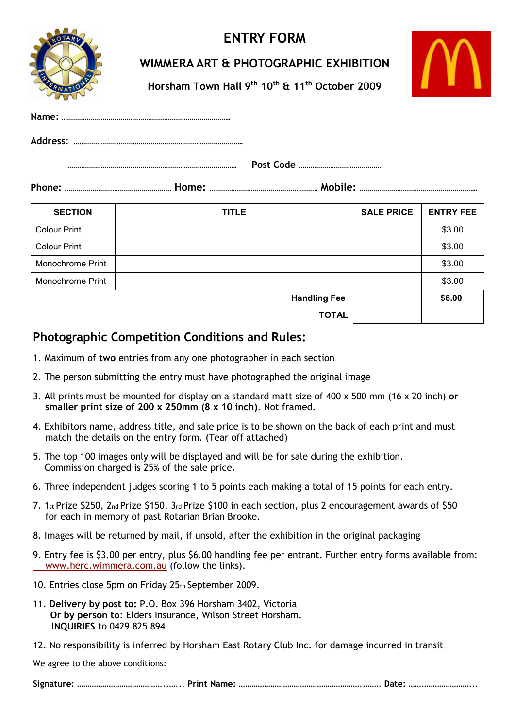

## **ENTRY FORM**

## **WIMMERA ART & PHOTOGRAPHIC EXHIBITION**

**Horsham Town Hall 9th 10th & 11th October 2009**

| AWAIN          | $\begin{array}{c} \text{IIVI} \text{IIVII} \text{IIVII} \text{IIVII} \end{array} \begin{array}{c} \text{IIV} \text{IIV} \end{array} \begin{array}{c} \text{IIV} \text{IIV} \end{array} \begin{array}{c} \text{II} \text{IIV} \end{array} \begin{array}{c} \text{II} \text{IIV} \end{array} \begin{array}{c} \text{IIV} \text{IIV} \end{array}$ |                        |  |
|----------------|------------------------------------------------------------------------------------------------------------------------------------------------------------------------------------------------------------------------------------------------------------------------------------------------------------------------------------------------|------------------------|--|
|                |                                                                                                                                                                                                                                                                                                                                                |                        |  |
|                |                                                                                                                                                                                                                                                                                                                                                |                        |  |
|                |                                                                                                                                                                                                                                                                                                                                                |                        |  |
|                |                                                                                                                                                                                                                                                                                                                                                |                        |  |
| <b>SECTION</b> | TITLE                                                                                                                                                                                                                                                                                                                                          | SALE PRICE   ENTRY FEE |  |

| <b>ULVIIVII</b>     | .                   | UALL I INVL | --------- |
|---------------------|---------------------|-------------|-----------|
| <b>Colour Print</b> |                     |             | \$3.00    |
| <b>Colour Print</b> |                     |             | \$3.00    |
| Monochrome Print    |                     |             | \$3.00    |
| Monochrome Print    |                     |             | \$3.00    |
|                     | <b>Handling Fee</b> |             | \$6.00    |
|                     | <b>TOTAL</b>        |             |           |

## **Photographic Competition Conditions and Rules:**

- 1. Maximum of **two** entries from any one photographer in each section
- 2. The person submitting the entry must have photographed the original image
- 3. All prints must be mounted for display on a standard matt size of 400 x 500 mm (16 x 20 inch) **or smaller print size of 200 x 250mm (8 x 10 inch)**. Not framed.
- 4. Exhibitors name, address title, and sale price is to be shown on the back of each print and must match the details on the entry form. (Tear off attached)
- 5. The top 100 images only will be displayed and will be for sale during the exhibition. Commission charged is 25% of the sale price.
- 6. Three independent judges scoring 1 to 5 points each making a total of 15 points for each entry.
- 7. 1st Prize \$250, 2nd Prize \$150, 3rd Prize \$100 in each section, plus 2 encouragement awards of \$50 for each in memory of past Rotarian Brian Brooke.
- 8. Images will be returned by mail, if unsold, after the exhibition in the original packaging
- 9. Entry fee is \$3.00 per entry, plus \$6.00 handling fee per entrant. Further entry forms available from: www.herc.wimmera.com.au (follow the links).
- 10. Entries close 5pm on Friday 25th September 2009.
- 11. **Delivery by post to:** P.O. Box 396 Horsham 3402, Victoria **Or by person to**: Elders Insurance, Wilson Street Horsham. **INQUIRIES** to 0429 825 894
- 12. No responsibility is inferred by Horsham East Rotary Club Inc. for damage incurred in transit

We agree to the above conditions:

|--|--|--|